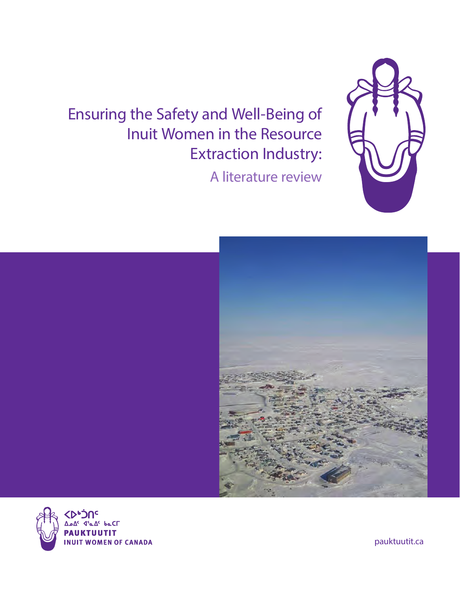Ensuring the Safety and Well-Being of Inuit Women in the Resource Extraction Industry:

A literature review







pauktuutit.ca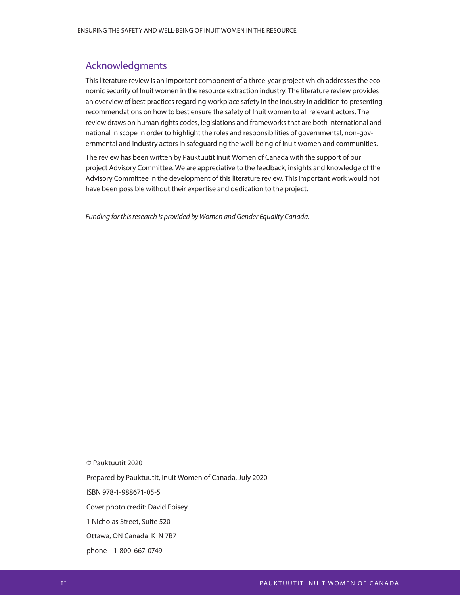### Acknowledgments

This literature review is an important component of a three-year project which addresses the economic security of Inuit women in the resource extraction industry. The literature review provides an overview of best practices regarding workplace safety in the industry in addition to presenting recommendations on how to best ensure the safety of Inuit women to all relevant actors. The review draws on human rights codes, legislations and frameworks that are both international and national in scope in order to highlight the roles and responsibilities of governmental, non-governmental and industry actors in safeguarding the well-being of Inuit women and communities.

The review has been written by Pauktuutit Inuit Women of Canada with the support of our project Advisory Committee. We are appreciative to the feedback, insights and knowledge of the Advisory Committee in the development of this literature review. This important work would not have been possible without their expertise and dedication to the project.

Funding for this research is provided by Women and Gender Equality Canada.

© Pauktuutit 2020 Prepared by Pauktuutit, Inuit Women of Canada, July 2020 ISBN 978-1-988671-05-5 Cover photo credit: David Poisey 1 Nicholas Street, Suite 520 Ottawa, ON Canada K1N 7B7

phone 1-800-667-0749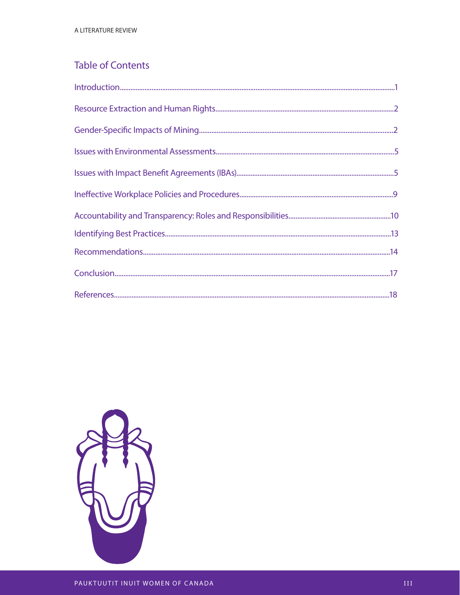# **Table of Contents**

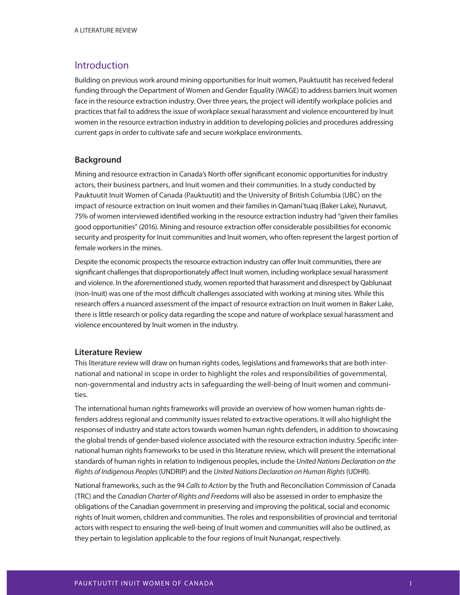### Introduction

Building on previous work around mining opportunities for Inuit women, Pauktuutit has received federal funding through the Department of Women and Gender Equality (WAGE) to address barriers Inuit women face in the resource extraction industry. Over three years, the project will identify workplace policies and practices that fail to address the issue of workplace sexual harassment and violence encountered by Inuit women in the resource extraction industry in addition to developing policies and procedures addressing current gaps in order to cultivate safe and secure workplace environments.

### **Background**

Mining and resource extraction in Canada's North offer significant economic opportunities for industry actors, their business partners, and Inuit women and their communities. In a study conducted by Pauktuutit Inuit Women of Canada (Pauktuutit) and the University of British Columbia (UBC) on the impact of resource extraction on Inuit women and their families in Qamani'tuaq (Baker Lake), Nunavut, 75% of women interviewed identified working in the resource extraction industry had "given their families good opportunities" (2016). Mining and resource extraction offer considerable possibilities for economic security and prosperity for Inuit communities and Inuit women, who often represent the largest portion of female workers in the mines.

Despite the economic prospects the resource extraction industry can offer Inuit communities, there are significant challenges that disproportionately affect Inuit women, including workplace sexual harassment and violence. In the aforementioned study, women reported that harassment and disrespect by Qablunaat (non-Inuit) was one of the most difficult challenges associated with working at mining sites. While this research offers a nuanced assessment of the impact of resource extraction on Inuit women in Baker Lake, there is little research or policy data regarding the scope and nature of workplace sexual harassment and violence encountered by Inuit women in the industry.

### **Literature Review**

This literature review will draw on human rights codes, legislations and frameworks that are both international and national in scope in order to highlight the roles and responsibilities of governmental, non-governmental and industry acts in safeguarding the well-being of Inuit women and communities.

The international human rights frameworks will provide an overview of how women human rights defenders address regional and community issues related to extractive operations. It will also highlight the responses of industry and state actors towards women human rights defenders, in addition to showcasing the global trends of gender-based violence associated with the resource extraction industry. Specific international human rights frameworks to be used in this literature review, which will present the international standards of human rights in relation to Indigenous peoples, include the United Nations Declaration on the Rights of Indigenous Peoples (UNDRIP) and the United Nations Declaration on Human Rights (UDHR).

National frameworks, such as the 94 Calls to Action by the Truth and Reconciliation Commission of Canada (TRC) and the Canadian Charter of Rights and Freedoms will also be assessed in order to emphasize the obligations of the Canadian government in preserving and improving the political, social and economic rights of Inuit women, children and communities. The roles and responsibilities of provincial and territorial actors with respect to ensuring the well-being of Inuit women and communities will also be outlined, as they pertain to legislation applicable to the four regions of Inuit Nunangat, respectively.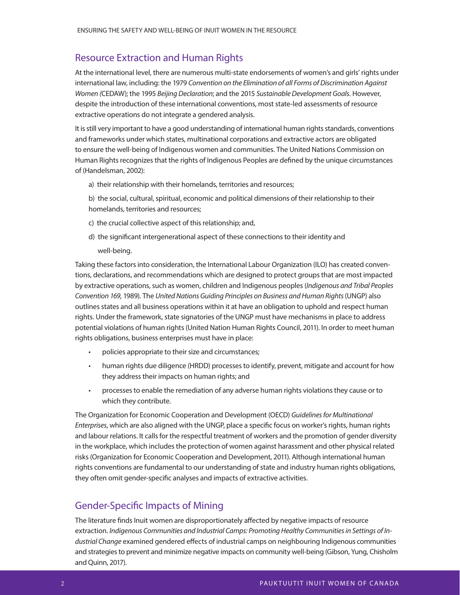### Resource Extraction and Human Rights

At the international level, there are numerous multi-state endorsements of women's and girls' rights under international law, including: the 1979 Convention on the Elimination of all Forms of Discrimination Against Women (CEDAW); the 1995 Beijing Declaration; and the 2015 Sustainable Development Goals. However, despite the introduction of these international conventions, most state-led assessments of resource extractive operations do not integrate a gendered analysis.

It is still very important to have a good understanding of international human rights standards, conventions and frameworks under which states, multinational corporations and extractive actors are obligated to ensure the well-being of Indigenous women and communities. The United Nations Commission on Human Rights recognizes that the rights of Indigenous Peoples are defined by the unique circumstances of (Handelsman, 2002):

a) their relationship with their homelands, territories and resources;

b) the social, cultural, spiritual, economic and political dimensions of their relationship to their homelands, territories and resources;

- c) the crucial collective aspect of this relationship; and,
- d) the significant intergenerational aspect of these connections to their identity and well-being.

Taking these factors into consideration, the International Labour Organization (ILO) has created conventions, declarations, and recommendations which are designed to protect groups that are most impacted by extractive operations, such as women, children and Indigenous peoples (Indigenous and Tribal Peoples Convention 169, 1989). The United Nations Guiding Principles on Business and Human Rights (UNGP) also outlines states and all business operations within it at have an obligation to uphold and respect human rights. Under the framework, state signatories of the UNGP must have mechanisms in place to address potential violations of human rights (United Nation Human Rights Council, 2011). In order to meet human rights obligations, business enterprises must have in place:

- policies appropriate to their size and circumstances;
- human rights due diligence (HRDD) processes to identify, prevent, mitigate and account for how they address their impacts on human rights; and
- processes to enable the remediation of any adverse human rights violations they cause or to which they contribute.

The Organization for Economic Cooperation and Development (OECD) Guidelines for Multinational Enterprises, which are also aligned with the UNGP, place a specific focus on worker's rights, human rights and labour relations. It calls for the respectful treatment of workers and the promotion of gender diversity in the workplace, which includes the protection of women against harassment and other physical related risks (Organization for Economic Cooperation and Development, 2011). Although international human rights conventions are fundamental to our understanding of state and industry human rights obligations, they often omit gender-specific analyses and impacts of extractive activities.

# Gender-Specific Impacts of Mining

The literature finds Inuit women are disproportionately affected by negative impacts of resource extraction. Indigenous Communities and Industrial Camps: Promoting Healthy Communities in Settings of Industrial Change examined gendered effects of industrial camps on neighbouring Indigenous communities and strategies to prevent and minimize negative impacts on community well-being (Gibson, Yung, Chisholm and Quinn, 2017).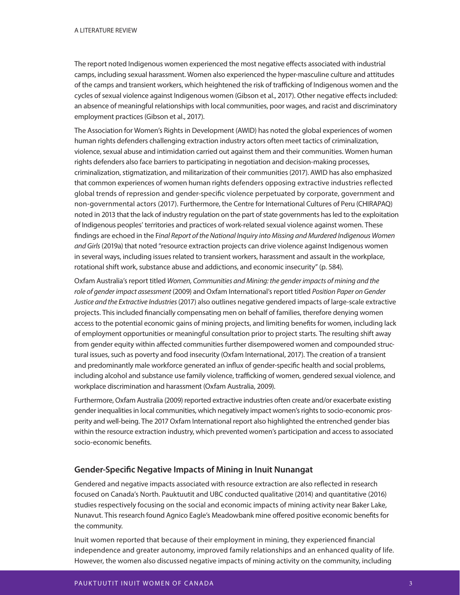The report noted Indigenous women experienced the most negative effects associated with industrial camps, including sexual harassment. Women also experienced the hyper-masculine culture and attitudes of the camps and transient workers, which heightened the risk of trafficking of Indigenous women and the cycles of sexual violence against Indigenous women (Gibson et al., 2017). Other negative effects included: an absence of meaningful relationships with local communities, poor wages, and racist and discriminatory employment practices (Gibson et al., 2017).

The Association for Women's Rights in Development (AWID) has noted the global experiences of women human rights defenders challenging extraction industry actors often meet tactics of criminalization, violence, sexual abuse and intimidation carried out against them and their communities. Women human rights defenders also face barriers to participating in negotiation and decision-making processes, criminalization, stigmatization, and militarization of their communities (2017). AWID has also emphasized that common experiences of women human rights defenders opposing extractive industries reflected global trends of repression and gender-specific violence perpetuated by corporate, government and non-governmental actors (2017). Furthermore, the Centre for International Cultures of Peru (CHIRAPAQ) noted in 2013 that the lack of industry regulation on the part of state governments has led to the exploitation of Indigenous peoples' territories and practices of work-related sexual violence against women. These findings are echoed in the Final Report of the National Inquiry into Missing and Murdered Indigenous Women and Girls (2019a) that noted "resource extraction projects can drive violence against Indigenous women in several ways, including issues related to transient workers, harassment and assault in the workplace, rotational shift work, substance abuse and addictions, and economic insecurity" (p. 584).

Oxfam Australia's report titled Women, Communities and Mining: the gender impacts of mining and the role of gender impact assessment (2009) and Oxfam International's report titled Position Paper on Gender Justice and the Extractive Industries (2017) also outlines negative gendered impacts of large-scale extractive projects. This included financially compensating men on behalf of families, therefore denying women access to the potential economic gains of mining projects, and limiting benefits for women, including lack of employment opportunities or meaningful consultation prior to project starts. The resulting shift away from gender equity within affected communities further disempowered women and compounded structural issues, such as poverty and food insecurity (Oxfam International, 2017). The creation of a transient and predominantly male workforce generated an influx of gender-specific health and social problems, including alcohol and substance use family violence, trafficking of women, gendered sexual violence, and workplace discrimination and harassment (Oxfam Australia, 2009).

Furthermore, Oxfam Australia (2009) reported extractive industries often create and/or exacerbate existing gender inequalities in local communities, which negatively impact women's rights to socio-economic prosperity and well-being. The 2017 Oxfam International report also highlighted the entrenched gender bias within the resource extraction industry, which prevented women's participation and access to associated socio-economic benefits.

### **Gender-Specific Negative Impacts of Mining in Inuit Nunangat**

Gendered and negative impacts associated with resource extraction are also reflected in research focused on Canada's North. Pauktuutit and UBC conducted qualitative (2014) and quantitative (2016) studies respectively focusing on the social and economic impacts of mining activity near Baker Lake, Nunavut. This research found Agnico Eagle's Meadowbank mine offered positive economic benefits for the community.

Inuit women reported that because of their employment in mining, they experienced financial independence and greater autonomy, improved family relationships and an enhanced quality of life. However, the women also discussed negative impacts of mining activity on the community, including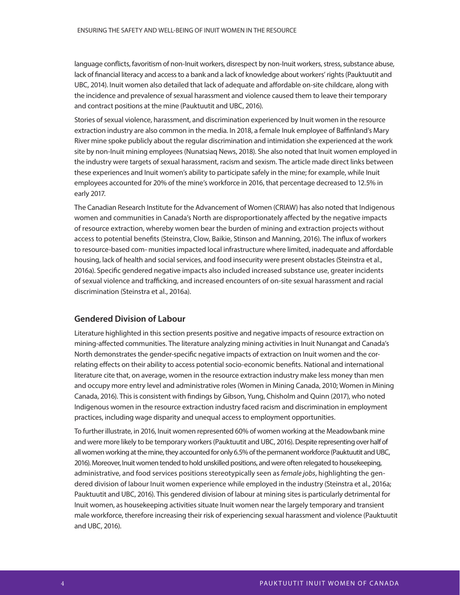language conflicts, favoritism of non-Inuit workers, disrespect by non-Inuit workers, stress, substance abuse, lack of financial literacy and access to a bank and a lack of knowledge about workers' rights (Pauktuutit and UBC, 2014). Inuit women also detailed that lack of adequate and affordable on-site childcare, along with the incidence and prevalence of sexual harassment and violence caused them to leave their temporary and contract positions at the mine (Pauktuutit and UBC, 2016).

Stories of sexual violence, harassment, and discrimination experienced by Inuit women in the resource extraction industry are also common in the media. In 2018, a female Inuk employee of Baffinland's Mary River mine spoke publicly about the regular discrimination and intimidation she experienced at the work site by non-Inuit mining employees (Nunatsiaq News, 2018). She also noted that Inuit women employed in the industry were targets of sexual harassment, racism and sexism. The article made direct links between these experiences and Inuit women's ability to participate safely in the mine; for example, while Inuit employees accounted for 20% of the mine's workforce in 2016, that percentage decreased to 12.5% in early 2017.

The Canadian Research Institute for the Advancement of Women (CRIAW) has also noted that Indigenous women and communities in Canada's North are disproportionately affected by the negative impacts of resource extraction, whereby women bear the burden of mining and extraction projects without access to potential benefits (Steinstra, Clow, Baikie, Stinson and Manning, 2016). The influx of workers to resource-based com- munities impacted local infrastructure where limited, inadequate and affordable housing, lack of health and social services, and food insecurity were present obstacles (Steinstra et al., 2016a). Specific gendered negative impacts also included increased substance use, greater incidents of sexual violence and trafficking, and increased encounters of on-site sexual harassment and racial discrimination (Steinstra et al., 2016a).

#### **Gendered Division of Labour**

Literature highlighted in this section presents positive and negative impacts of resource extraction on mining-affected communities. The literature analyzing mining activities in Inuit Nunangat and Canada's North demonstrates the gender-specific negative impacts of extraction on Inuit women and the correlating effects on their ability to access potential socio-economic benefits. National and international literature cite that, on average, women in the resource extraction industry make less money than men and occupy more entry level and administrative roles (Women in Mining Canada, 2010; Women in Mining Canada, 2016). This is consistent with findings by Gibson, Yung, Chisholm and Quinn (2017), who noted Indigenous women in the resource extraction industry faced racism and discrimination in employment practices, including wage disparity and unequal access to employment opportunities.

To further illustrate, in 2016, Inuit women represented 60% of women working at the Meadowbank mine and were more likely to be temporary workers (Pauktuutit and UBC, 2016). Despite representing over half of all women working at the mine, they accounted for only 6.5% of the permanent workforce (Pauktuutit and UBC, 2016). Moreover, Inuit women tended to hold unskilled positions, and were often relegated to housekeeping, administrative, and food services positions stereotypically seen as *female jobs*, highlighting the gendered division of labour Inuit women experience while employed in the industry (Steinstra et al., 2016a; Pauktuutit and UBC, 2016). This gendered division of labour at mining sites is particularly detrimental for Inuit women, as housekeeping activities situate Inuit women near the largely temporary and transient male workforce, therefore increasing their risk of experiencing sexual harassment and violence (Pauktuutit and UBC, 2016).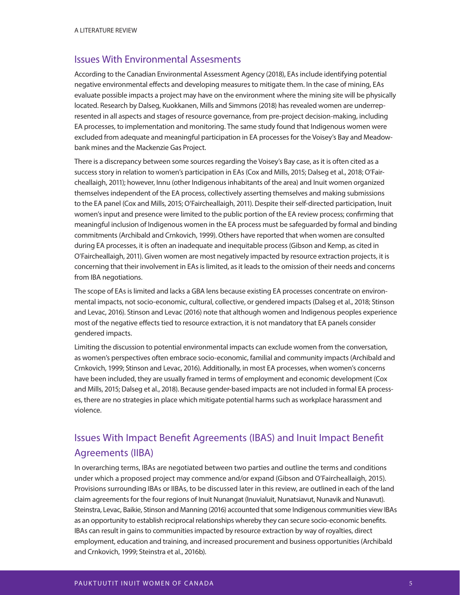### Issues With Environmental Assesments

According to the Canadian Environmental Assessment Agency (2018), EAs include identifying potential negative environmental effects and developing measures to mitigate them. In the case of mining, EAs evaluate possible impacts a project may have on the environment where the mining site will be physically located. Research by Dalseg, Kuokkanen, Mills and Simmons (2018) has revealed women are underrepresented in all aspects and stages of resource governance, from pre-project decision-making, including EA processes, to implementation and monitoring. The same study found that Indigenous women were excluded from adequate and meaningful participation in EA processes for the Voisey's Bay and Meadowbank mines and the Mackenzie Gas Project.

There is a discrepancy between some sources regarding the Voisey's Bay case, as it is often cited as a success story in relation to women's participation in EAs (Cox and Mills, 2015; Dalseg et al., 2018; O'Faircheallaigh, 2011); however, Innu (other Indigenous inhabitants of the area) and Inuit women organized themselves independent of the EA process, collectively asserting themselves and making submissions to the EA panel (Cox and Mills, 2015; O'Faircheallaigh, 2011). Despite their self-directed participation, Inuit women's input and presence were limited to the public portion of the EA review process; confirming that meaningful inclusion of Indigenous women in the EA process must be safeguarded by formal and binding commitments (Archibald and Crnkovich, 1999). Others have reported that when women are consulted during EA processes, it is often an inadequate and inequitable process (Gibson and Kemp, as cited in O'Faircheallaigh, 2011). Given women are most negatively impacted by resource extraction projects, it is concerning that their involvement in EAs is limited, as it leads to the omission of their needs and concerns from IBA negotiations.

The scope of EAs is limited and lacks a GBA lens because existing EA processes concentrate on environmental impacts, not socio-economic, cultural, collective, or gendered impacts (Dalseg et al., 2018; Stinson and Levac, 2016). Stinson and Levac (2016) note that although women and Indigenous peoples experience most of the negative effects tied to resource extraction, it is not mandatory that EA panels consider gendered impacts.

Limiting the discussion to potential environmental impacts can exclude women from the conversation, as women's perspectives often embrace socio-economic, familial and community impacts (Archibald and Crnkovich, 1999; Stinson and Levac, 2016). Additionally, in most EA processes, when women's concerns have been included, they are usually framed in terms of employment and economic development (Cox and Mills, 2015; Dalseg et al., 2018). Because gender-based impacts are not included in formal EA processes, there are no strategies in place which mitigate potential harms such as workplace harassment and violence.

# Issues With Impact Benefit Agreements (IBAS) and Inuit Impact Benefit Agreements (IIBA)

In overarching terms, IBAs are negotiated between two parties and outline the terms and conditions under which a proposed project may commence and/or expand (Gibson and O'Faircheallaigh, 2015). Provisions surrounding IBAs or IIBAs, to be discussed later in this review, are outlined in each of the land claim agreements for the four regions of Inuit Nunangat (Inuvialuit, Nunatsiavut, Nunavik and Nunavut). Steinstra, Levac, Baikie, Stinson and Manning (2016) accounted that some Indigenous communities view IBAs as an opportunity to establish reciprocal relationships whereby they can secure socio-economic benefits. IBAs can result in gains to communities impacted by resource extraction by way of royalties, direct employment, education and training, and increased procurement and business opportunities (Archibald and Crnkovich, 1999; Steinstra et al., 2016b).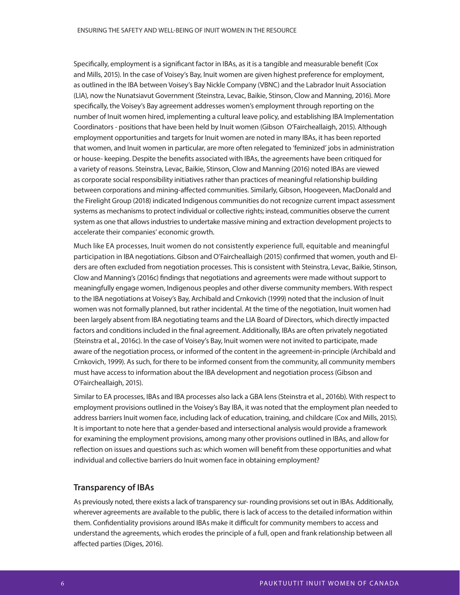Specifically, employment is a significant factor in IBAs, as it is a tangible and measurable benefit (Cox and Mills, 2015). In the case of Voisey's Bay, Inuit women are given highest preference for employment, as outlined in the IBA between Voisey's Bay Nickle Company (VBNC) and the Labrador Inuit Association (LIA), now the Nunatsiavut Government (Steinstra, Levac, Baikie, Stinson, Clow and Manning, 2016). More specifically, the Voisey's Bay agreement addresses women's employment through reporting on the number of Inuit women hired, implementing a cultural leave policy, and establishing IBA Implementation Coordinators - positions that have been held by Inuit women (Gibson O'Faircheallaigh, 2015). Although employment opportunities and targets for Inuit women are noted in many IBAs, it has been reported that women, and Inuit women in particular, are more often relegated to 'feminized' jobs in administration or house- keeping. Despite the benefits associated with IBAs, the agreements have been critiqued for a variety of reasons. Steinstra, Levac, Baikie, Stinson, Clow and Manning (2016) noted IBAs are viewed as corporate social responsibility initiatives rather than practices of meaningful relationship building between corporations and mining-affected communities. Similarly, Gibson, Hoogeveen, MacDonald and the Firelight Group (2018) indicated Indigenous communities do not recognize current impact assessment systems as mechanisms to protect individual or collective rights; instead, communities observe the current system as one that allows industries to undertake massive mining and extraction development projects to accelerate their companies' economic growth.

Much like EA processes, Inuit women do not consistently experience full, equitable and meaningful participation in IBA negotiations. Gibson and O'Faircheallaigh (2015) confirmed that women, youth and Elders are often excluded from negotiation processes. This is consistent with Steinstra, Levac, Baikie, Stinson, Clow and Manning's (2016c) findings that negotiations and agreements were made without support to meaningfully engage women, Indigenous peoples and other diverse community members. With respect to the IBA negotiations at Voisey's Bay, Archibald and Crnkovich (1999) noted that the inclusion of Inuit women was not formally planned, but rather incidental. At the time of the negotiation, Inuit women had been largely absent from IBA negotiating teams and the LIA Board of Directors, which directly impacted factors and conditions included in the final agreement. Additionally, IBAs are often privately negotiated (Steinstra et al., 2016c). In the case of Voisey's Bay, Inuit women were not invited to participate, made aware of the negotiation process, or informed of the content in the agreement-in-principle (Archibald and Crnkovich, 1999). As such, for there to be informed consent from the community, all community members must have access to information about the IBA development and negotiation process (Gibson and O'Faircheallaigh, 2015).

Similar to EA processes, IBAs and IBA processes also lack a GBA lens (Steinstra et al., 2016b). With respect to employment provisions outlined in the Voisey's Bay IBA, it was noted that the employment plan needed to address barriers Inuit women face, including lack of education, training, and childcare (Cox and Mills, 2015). It is important to note here that a gender-based and intersectional analysis would provide a framework for examining the employment provisions, among many other provisions outlined in IBAs, and allow for reflection on issues and questions such as: which women will benefit from these opportunities and what individual and collective barriers do Inuit women face in obtaining employment?

#### **Transparency of IBAs**

As previously noted, there exists a lack of transparency sur- rounding provisions set out in IBAs. Additionally, wherever agreements are available to the public, there is lack of access to the detailed information within them. Confidentiality provisions around IBAs make it difficult for community members to access and understand the agreements, which erodes the principle of a full, open and frank relationship between all affected parties (Diges, 2016).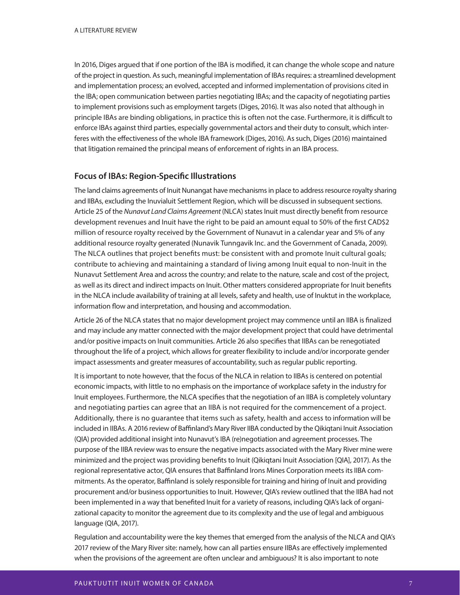In 2016, Diges argued that if one portion of the IBA is modified, it can change the whole scope and nature of the project in question. As such, meaningful implementation of IBAs requires: a streamlined development and implementation process; an evolved, accepted and informed implementation of provisions cited in the IBA; open communication between parties negotiating IBAs; and the capacity of negotiating parties to implement provisions such as employment targets (Diges, 2016). It was also noted that although in principle IBAs are binding obligations, in practice this is often not the case. Furthermore, it is difficult to enforce IBAs against third parties, especially governmental actors and their duty to consult, which interferes with the effectiveness of the whole IBA framework (Diges, 2016). As such, Diges (2016) maintained that litigation remained the principal means of enforcement of rights in an IBA process.

### **Focus of IBAs: Region-Specific Illustrations**

The land claims agreements of Inuit Nunangat have mechanisms in place to address resource royalty sharing and IIBAs, excluding the Inuvialuit Settlement Region, which will be discussed in subsequent sections. Article 25 of the Nunavut Land Claims Agreement (NLCA) states Inuit must directly benefit from resource development revenues and Inuit have the right to be paid an amount equal to 50% of the first CAD\$2 million of resource royalty received by the Government of Nunavut in a calendar year and 5% of any additional resource royalty generated (Nunavik Tunngavik Inc. and the Government of Canada, 2009). The NLCA outlines that project benefits must: be consistent with and promote Inuit cultural goals; contribute to achieving and maintaining a standard of living among Inuit equal to non-Inuit in the Nunavut Settlement Area and across the country; and relate to the nature, scale and cost of the project, as well as its direct and indirect impacts on Inuit. Other matters considered appropriate for Inuit benefits in the NLCA include availability of training at all levels, safety and health, use of Inuktut in the workplace, information flow and interpretation, and housing and accommodation.

Article 26 of the NLCA states that no major development project may commence until an IIBA is finalized and may include any matter connected with the major development project that could have detrimental and/or positive impacts on Inuit communities. Article 26 also specifies that IIBAs can be renegotiated throughout the life of a project, which allows for greater flexibility to include and/or incorporate gender impact assessments and greater measures of accountability, such as regular public reporting.

It is important to note however, that the focus of the NLCA in relation to IIBAs is centered on potential economic impacts, with little to no emphasis on the importance of workplace safety in the industry for Inuit employees. Furthermore, the NLCA specifies that the negotiation of an IIBA is completely voluntary and negotiating parties can agree that an IIBA is not required for the commencement of a project. Additionally, there is no guarantee that items such as safety, health and access to information will be included in IIBAs. A 2016 review of Baffinland's Mary River IIBA conducted by the Qikiqtani Inuit Association (QIA) provided additional insight into Nunavut's IBA (re)negotiation and agreement processes. The purpose of the IIBA review was to ensure the negative impacts associated with the Mary River mine were minimized and the project was providing benefits to Inuit (Qikigtani Inuit Association [QIA], 2017). As the regional representative actor, QIA ensures that Baffinland Irons Mines Corporation meets its IIBA commitments. As the operator, Baffinland is solely responsible for training and hiring of Inuit and providing procurement and/or business opportunities to Inuit. However, QIA's review outlined that the IIBA had not been implemented in a way that benefited Inuit for a variety of reasons, including QIA's lack of organizational capacity to monitor the agreement due to its complexity and the use of legal and ambiguous language (QIA, 2017).

Regulation and accountability were the key themes that emerged from the analysis of the NLCA and QIA's 2017 review of the Mary River site: namely, how can all parties ensure IIBAs are effectively implemented when the provisions of the agreement are often unclear and ambiguous? It is also important to note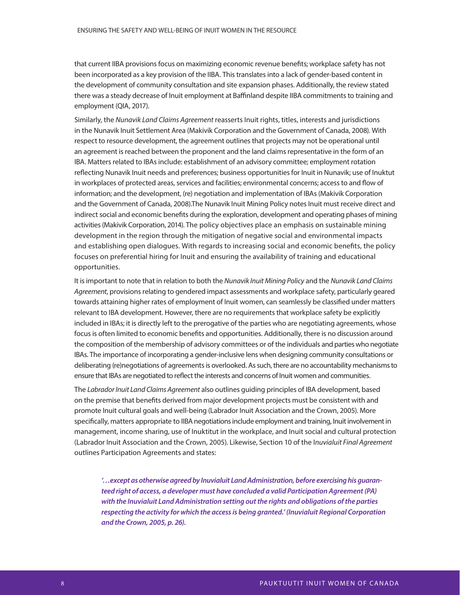that current IIBA provisions focus on maximizing economic revenue benefits; workplace safety has not been incorporated as a key provision of the IIBA. This translates into a lack of gender-based content in the development of community consultation and site expansion phases. Additionally, the review stated there was a steady decrease of Inuit employment at Baffinland despite IIBA commitments to training and employment (QIA, 2017).

Similarly, the Nunavik Land Claims Agreement reasserts Inuit rights, titles, interests and jurisdictions in the Nunavik Inuit Settlement Area (Makivik Corporation and the Government of Canada, 2008). With respect to resource development, the agreement outlines that projects may not be operational until an agreement is reached between the proponent and the land claims representative in the form of an IBA. Matters related to IBAs include: establishment of an advisory committee; employment rotation reflecting Nunavik Inuit needs and preferences; business opportunities for Inuit in Nunavik; use of Inuktut in workplaces of protected areas, services and facilities; environmental concerns; access to and flow of information; and the development, (re) negotiation and implementation of IBAs (Makivik Corporation and the Government of Canada, 2008).The Nunavik Inuit Mining Policy notes Inuit must receive direct and indirect social and economic benefits during the exploration, development and operating phases of mining activities (Makivik Corporation, 2014). The policy objectives place an emphasis on sustainable mining development in the region through the mitigation of negative social and environmental impacts and establishing open dialogues. With regards to increasing social and economic benefits, the policy focuses on preferential hiring for Inuit and ensuring the availability of training and educational opportunities.

It is important to note that in relation to both the Nunavik Inuit Mining Policy and the Nunavik Land Claims Agreement, provisions relating to gendered impact assessments and workplace safety, particularly geared towards attaining higher rates of employment of Inuit women, can seamlessly be classified under matters relevant to IBA development. However, there are no requirements that workplace safety be explicitly included in IBAs; it is directly left to the prerogative of the parties who are negotiating agreements, whose focus is often limited to economic benefits and opportunities. Additionally, there is no discussion around the composition of the membership of advisory committees or of the individuals and parties who negotiate IBAs. The importance of incorporating a gender-inclusive lens when designing community consultations or deliberating (re)negotiations of agreements is overlooked. As such, there are no accountability mechanisms to ensure that IBAs are negotiated to reflect the interests and concerns of Inuit women and communities.

The Labrador Inuit Land Claims Agreement also outlines guiding principles of IBA development, based on the premise that benefits derived from major development projects must be consistent with and promote Inuit cultural goals and well-being (Labrador Inuit Association and the Crown, 2005). More specifically, matters appropriate to IIBA negotiations include employment and training, Inuit involvement in management, income sharing, use of Inuktitut in the workplace, and Inuit social and cultural protection (Labrador Inuit Association and the Crown, 2005). Likewise, Section 10 of the Inuvialuit Final Agreement outlines Participation Agreements and states:

**'…except as otherwise agreed by Inuvialuit Land Administration, before exercising his guaranteed right of access, a developer must have concluded a valid Participation Agreement (PA) with the Inuvialuit Land Administration setting out the rights and obligations of the parties respecting the activity for which the access is being granted.' (Inuvialuit Regional Corporation and the Crown, 2005, p. 26).**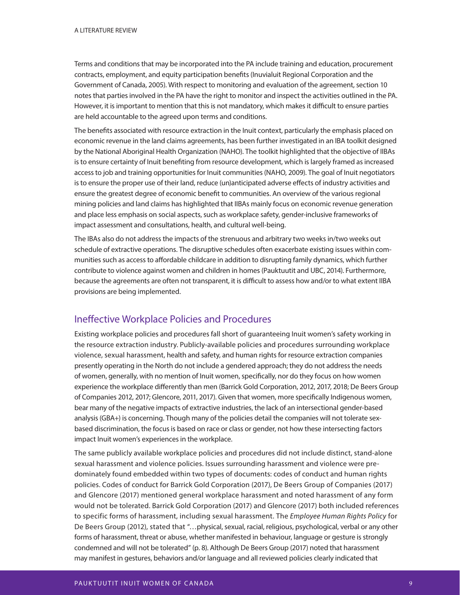Terms and conditions that may be incorporated into the PA include training and education, procurement contracts, employment, and equity participation benefits (Inuvialuit Regional Corporation and the Government of Canada, 2005). With respect to monitoring and evaluation of the agreement, section 10 notes that parties involved in the PA have the right to monitor and inspect the activities outlined in the PA. However, it is important to mention that this is not mandatory, which makes it difficult to ensure parties are held accountable to the agreed upon terms and conditions.

The benefits associated with resource extraction in the Inuit context, particularly the emphasis placed on economic revenue in the land claims agreements, has been further investigated in an IBA toolkit designed by the National Aboriginal Health Organization (NAHO). The toolkit highlighted that the objective of IIBAs is to ensure certainty of Inuit benefiting from resource development, which is largely framed as increased access to job and training opportunities for Inuit communities (NAHO, 2009). The goal of Inuit negotiators is to ensure the proper use of their land, reduce (un)anticipated adverse effects of industry activities and ensure the greatest degree of economic benefi t to communities. An overview of the various regional mining policies and land claims has highlighted that IIBAs mainly focus on economic revenue generation and place less emphasis on social aspects, such as workplace safety, gender-inclusive frameworks of impact assessment and consultations, health, and cultural well-being.

The IBAs also do not address the impacts of the strenuous and arbitrary two weeks in/two weeks out schedule of extractive operations. The disruptive schedules often exacerbate existing issues within communities such as access to affordable childcare in addition to disrupting family dynamics, which further contribute to violence against women and children in homes (Pauktuutit and UBC, 2014). Furthermore, because the agreements are often not transparent, it is difficult to assess how and/or to what extent IIBA provisions are being implemented.

## Ineffective Workplace Policies and Procedures

Existing workplace policies and procedures fall short of guaranteeing Inuit women's safety working in the resource extraction industry. Publicly-available policies and procedures surrounding workplace violence, sexual harassment, health and safety, and human rights for resource extraction companies presently operating in the North do not include a gendered approach; they do not address the needs of women, generally, with no mention of Inuit women, specifically, nor do they focus on how women experience the workplace differently than men (Barrick Gold Corporation, 2012, 2017, 2018; De Beers Group of Companies 2012, 2017; Glencore, 2011, 2017). Given that women, more specifically Indigenous women, bear many of the negative impacts of extractive industries, the lack of an intersectional gender-based analysis (GBA+) is concerning. Though many of the policies detail the companies will not tolerate sexbased discrimination, the focus is based on race or class or gender, not how these intersecting factors impact Inuit women's experiences in the workplace.

The same publicly available workplace policies and procedures did not include distinct, stand-alone sexual harassment and violence policies. Issues surrounding harassment and violence were predominately found embedded within two types of documents: codes of conduct and human rights policies. Codes of conduct for Barrick Gold Corporation (2017), De Beers Group of Companies (2017) and Glencore (2017) mentioned general workplace harassment and noted harassment of any form would not be tolerated. Barrick Gold Corporation (2017) and Glencore (2017) both included references to specific forms of harassment, including sexual harassment. The Employee Human Rights Policy for De Beers Group (2012), stated that "…physical, sexual, racial, religious, psychological, verbal or any other forms of harassment, threat or abuse, whether manifested in behaviour, language or gesture is strongly condemned and will not be tolerated" (p. 8). Although De Beers Group (2017) noted that harassment may manifest in gestures, behaviors and/or language and all reviewed policies clearly indicated that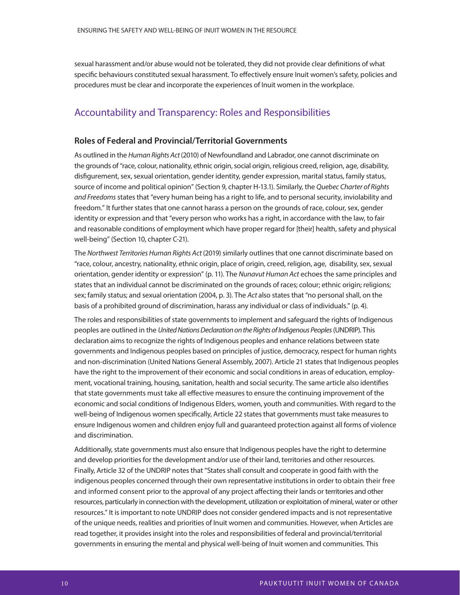sexual harassment and/or abuse would not be tolerated, they did not provide clear definitions of what specific behaviours constituted sexual harassment. To effectively ensure Inuit women's safety, policies and procedures must be clear and incorporate the experiences of Inuit women in the workplace.

### Accountability and Transparency: Roles and Responsibilities

### **Roles of Federal and Provincial/Territorial Governments**

As outlined in the Human Rights Act (2010) of Newfoundland and Labrador, one cannot discriminate on the grounds of "race, colour, nationality, ethnic origin, social origin, religious creed, religion, age, disability, disfigurement, sex, sexual orientation, gender identity, gender expression, marital status, family status, source of income and political opinion" (Section 9, chapter H-13.1). Similarly, the Quebec Charter of Rights and Freedoms states that "every human being has a right to life, and to personal security, inviolability and freedom." It further states that one cannot harass a person on the grounds of race, colour, sex, gender identity or expression and that "every person who works has a right, in accordance with the law, to fair and reasonable conditions of employment which have proper regard for [their] health, safety and physical well-being" (Section 10, chapter C-21).

The Northwest Territories Human Rights Act (2019) similarly outlines that one cannot discriminate based on "race, colour, ancestry, nationality, ethnic origin, place of origin, creed, religion, age, disability, sex, sexual orientation, gender identity or expression" (p. 11). The Nunavut Human Act echoes the same principles and states that an individual cannot be discriminated on the grounds of races; colour; ethnic origin; religions; sex; family status; and sexual orientation (2004, p. 3). The Act also states that "no personal shall, on the basis of a prohibited ground of discrimination, harass any individual or class of individuals." (p. 4).

The roles and responsibilities of state governments to implement and safeguard the rights of Indigenous peoples are outlined in the United Nations Declaration on the Rights of Indigenous Peoples (UNDRIP). This declaration aims to recognize the rights of Indigenous peoples and enhance relations between state governments and Indigenous peoples based on principles of justice, democracy, respect for human rights and non-discrimination (United Nations General Assembly, 2007). Article 21 states that Indigenous peoples have the right to the improvement of their economic and social conditions in areas of education, employment, vocational training, housing, sanitation, health and social security. The same article also identifies that state governments must take all effective measures to ensure the continuing improvement of the economic and social conditions of Indigenous Elders, women, youth and communities. With regard to the well-being of Indigenous women specifically, Article 22 states that governments must take measures to ensure Indigenous women and children enjoy full and guaranteed protection against all forms of violence and discrimination.

Additionally, state governments must also ensure that Indigenous peoples have the right to determine and develop priorities for the development and/or use of their land, territories and other resources. Finally, Article 32 of the UNDRIP notes that "States shall consult and cooperate in good faith with the indigenous peoples concerned through their own representative institutions in order to obtain their free and informed consent prior to the approval of any project affecting their lands or territories and other resources, particularly in connection with the development, utilization or exploitation of mineral, water or other resources." It is important to note UNDRIP does not consider gendered impacts and is not representative of the unique needs, realities and priorities of Inuit women and communities. However, when Articles are read together, it provides insight into the roles and responsibilities of federal and provincial/territorial governments in ensuring the mental and physical well-being of Inuit women and communities. This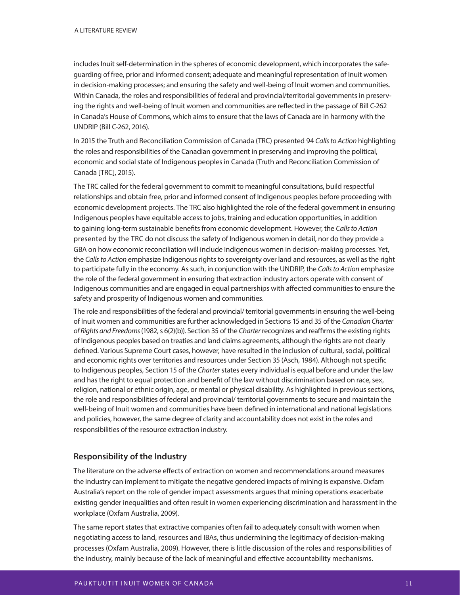includes Inuit self-determination in the spheres of economic development, which incorporates the safeguarding of free, prior and informed consent; adequate and meaningful representation of Inuit women in decision-making processes; and ensuring the safety and well-being of Inuit women and communities. Within Canada, the roles and responsibilities of federal and provincial/territorial governments in preserving the rights and well-being of Inuit women and communities are reflected in the passage of Bill C-262 in Canada's House of Commons, which aims to ensure that the laws of Canada are in harmony with the UNDRIP (Bill C-262, 2016).

In 2015 the Truth and Reconciliation Commission of Canada (TRC) presented 94 Calls to Action highlighting the roles and responsibilities of the Canadian government in preserving and improving the political, economic and social state of Indigenous peoples in Canada (Truth and Reconciliation Commission of Canada [TRC], 2015).

The TRC called for the federal government to commit to meaningful consultations, build respectful relationships and obtain free, prior and informed consent of Indigenous peoples before proceeding with economic development projects. The TRC also highlighted the role of the federal government in ensuring Indigenous peoples have equitable access to jobs, training and education opportunities, in addition to gaining long-term sustainable benefits from economic development. However, the Calls to Action presented by the TRC do not discuss the safety of Indigenous women in detail, nor do they provide a GBA on how economic reconciliation will include Indigenous women in decision-making processes. Yet, the Calls to Action emphasize Indigenous rights to sovereignty over land and resources, as well as the right to participate fully in the economy. As such, in conjunction with the UNDRIP, the Calls to Action emphasize the role of the federal government in ensuring that extraction industry actors operate with consent of Indigenous communities and are engaged in equal partnerships with affected communities to ensure the safety and prosperity of Indigenous women and communities.

The role and responsibilities of the federal and provincial/ territorial governments in ensuring the well-being of Inuit women and communities are further acknowledged in Sections 15 and 35 of the Canadian Charter of Rights and Freedoms (1982, s 6(2)(b)). Section 35 of the Charter recognizes and reaffirms the existing rights of Indigenous peoples based on treaties and land claims agreements, although the rights are not clearly defined. Various Supreme Court cases, however, have resulted in the inclusion of cultural, social, political and economic rights over territories and resources under Section 35 (Asch, 1984). Although not specific to Indigenous peoples, Section 15 of the Charter states every individual is equal before and under the law and has the right to equal protection and benefit of the law without discrimination based on race, sex, religion, national or ethnic origin, age, or mental or physical disability. As highlighted in previous sections, the role and responsibilities of federal and provincial/ territorial governments to secure and maintain the well-being of Inuit women and communities have been defined in international and national legislations and policies, however, the same degree of clarity and accountability does not exist in the roles and responsibilities of the resource extraction industry.

### **Responsibility of the Industry**

The literature on the adverse effects of extraction on women and recommendations around measures the industry can implement to mitigate the negative gendered impacts of mining is expansive. Oxfam Australia's report on the role of gender impact assessments argues that mining operations exacerbate existing gender inequalities and often result in women experiencing discrimination and harassment in the workplace (Oxfam Australia, 2009).

The same report states that extractive companies often fail to adequately consult with women when negotiating access to land, resources and IBAs, thus undermining the legitimacy of decision-making processes (Oxfam Australia, 2009). However, there is little discussion of the roles and responsibilities of the industry, mainly because of the lack of meaningful and effective accountability mechanisms.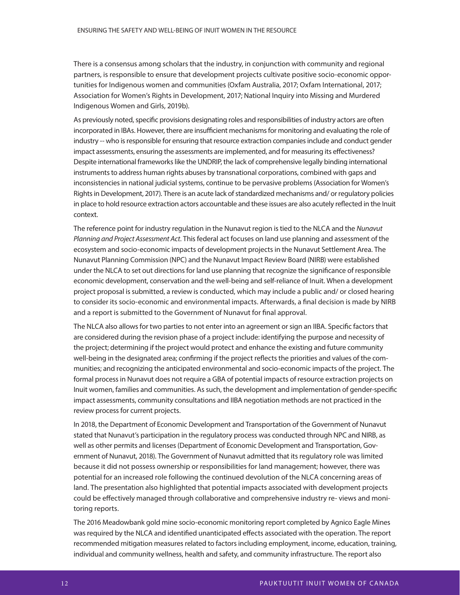There is a consensus among scholars that the industry, in conjunction with community and regional partners, is responsible to ensure that development projects cultivate positive socio-economic opportunities for Indigenous women and communities (Oxfam Australia, 2017; Oxfam International, 2017; Association for Women's Rights in Development, 2017; National Inquiry into Missing and Murdered Indigenous Women and Girls, 2019b).

As previously noted, specific provisions designating roles and responsibilities of industry actors are often incorporated in IBAs. However, there are insufficient mechanisms for monitoring and evaluating the role of industry -- who is responsible for ensuring that resource extraction companies include and conduct gender impact assessments, ensuring the assessments are implemented, and for measuring its effectiveness? Despite international frameworks like the UNDRIP, the lack of comprehensive legally binding international instruments to address human rights abuses by transnational corporations, combined with gaps and inconsistencies in national judicial systems, continue to be pervasive problems (Association for Women's Rights in Development, 2017). There is an acute lack of standardized mechanisms and/ or regulatory policies in place to hold resource extraction actors accountable and these issues are also acutely reflected in the Inuit context.

The reference point for industry regulation in the Nunavut region is tied to the NLCA and the Nunavut Planning and Project Assessment Act. This federal act focuses on land use planning and assessment of the ecosystem and socio-economic impacts of development projects in the Nunavut Settlement Area. The Nunavut Planning Commission (NPC) and the Nunavut Impact Review Board (NIRB) were established under the NLCA to set out directions for land use planning that recognize the significance of responsible economic development, conservation and the well-being and self-reliance of Inuit. When a development project proposal is submitted, a review is conducted, which may include a public and/ or closed hearing to consider its socio-economic and environmental impacts. Afterwards, a final decision is made by NIRB and a report is submitted to the Government of Nunavut for final approval.

The NLCA also allows for two parties to not enter into an agreement or sign an IIBA. Specific factors that are considered during the revision phase of a project include: identifying the purpose and necessity of the project; determining if the project would protect and enhance the existing and future community well-being in the designated area; confirming if the project reflects the priorities and values of the communities; and recognizing the anticipated environmental and socio-economic impacts of the project. The formal process in Nunavut does not require a GBA of potential impacts of resource extraction projects on Inuit women, families and communities. As such, the development and implementation of gender-specific impact assessments, community consultations and IIBA negotiation methods are not practiced in the review process for current projects.

In 2018, the Department of Economic Development and Transportation of the Government of Nunavut stated that Nunavut's participation in the regulatory process was conducted through NPC and NIRB, as well as other permits and licenses (Department of Economic Development and Transportation, Government of Nunavut, 2018). The Government of Nunavut admitted that its regulatory role was limited because it did not possess ownership or responsibilities for land management; however, there was potential for an increased role following the continued devolution of the NLCA concerning areas of land. The presentation also highlighted that potential impacts associated with development projects could be effectively managed through collaborative and comprehensive industry re- views and monitoring reports.

The 2016 Meadowbank gold mine socio-economic monitoring report completed by Agnico Eagle Mines was required by the NLCA and identified unanticipated effects associated with the operation. The report recommended mitigation measures related to factors including employment, income, education, training, individual and community wellness, health and safety, and community infrastructure. The report also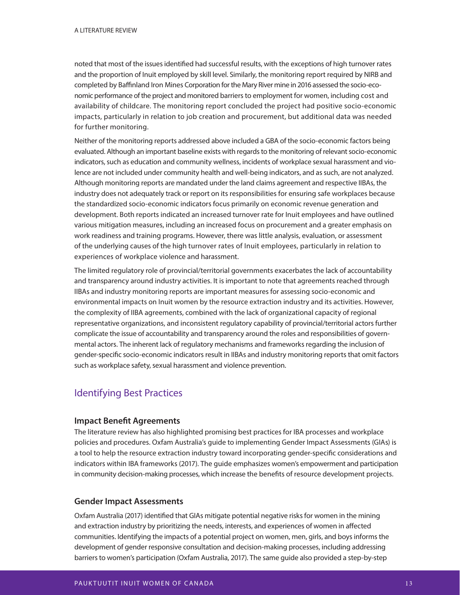noted that most of the issues identified had successful results, with the exceptions of high turnover rates and the proportion of Inuit employed by skill level. Similarly, the monitoring report required by NIRB and completed by Baffinland Iron Mines Corporation for the Mary River mine in 2016 assessed the socio-economic performance of the project and monitored barriers to employment for women, including cost and availability of childcare. The monitoring report concluded the project had positive socio-economic impacts, particularly in relation to job creation and procurement, but additional data was needed for further monitoring.

Neither of the monitoring reports addressed above included a GBA of the socio-economic factors being evaluated. Although an important baseline exists with regards to the monitoring of relevant socio-economic indicators, such as education and community wellness, incidents of workplace sexual harassment and violence are not included under community health and well-being indicators, and as such, are not analyzed. Although monitoring reports are mandated under the land claims agreement and respective IIBAs, the industry does not adequately track or report on its responsibilities for ensuring safe workplaces because the standardized socio-economic indicators focus primarily on economic revenue generation and development. Both reports indicated an increased turnover rate for Inuit employees and have outlined various mitigation measures, including an increased focus on procurement and a greater emphasis on work readiness and training programs. However, there was little analysis, evaluation, or assessment of the underlying causes of the high turnover rates of Inuit employees, particularly in relation to experiences of workplace violence and harassment.

The limited regulatory role of provincial/territorial governments exacerbates the lack of accountability and transparency around industry activities. It is important to note that agreements reached through IIBAs and industry monitoring reports are important measures for assessing socio-economic and environmental impacts on Inuit women by the resource extraction industry and its activities. However, the complexity of IIBA agreements, combined with the lack of organizational capacity of regional representative organizations, and inconsistent regulatory capability of provincial/territorial actors further complicate the issue of accountability and transparency around the roles and responsibilities of governmental actors. The inherent lack of regulatory mechanisms and frameworks regarding the inclusion of gender-specific socio-economic indicators result in IIBAs and industry monitoring reports that omit factors such as workplace safety, sexual harassment and violence prevention.

# Identifying Best Practices

### **Impact Benefit Agreements**

The literature review has also highlighted promising best practices for IBA processes and workplace policies and procedures. Oxfam Australia's guide to implementing Gender Impact Assessments (GIAs) is a tool to help the resource extraction industry toward incorporating gender-specific considerations and indicators within IBA frameworks (2017). The guide emphasizes women's empowerment and participation in community decision-making processes, which increase the benefits of resource development projects.

### **Gender Impact Assessments**

Oxfam Australia (2017) identified that GIAs mitigate potential negative risks for women in the mining and extraction industry by prioritizing the needs, interests, and experiences of women in affected communities. Identifying the impacts of a potential project on women, men, girls, and boys informs the development of gender responsive consultation and decision-making processes, including addressing barriers to women's participation (Oxfam Australia, 2017). The same guide also provided a step-by-step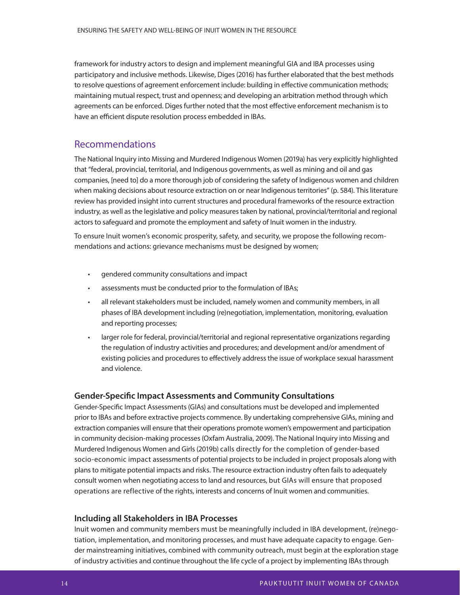framework for industry actors to design and implement meaningful GIA and IBA processes using participatory and inclusive methods. Likewise, Diges (2016) has further elaborated that the best methods to resolve questions of agreement enforcement include: building in effective communication methods; maintaining mutual respect, trust and openness; and developing an arbitration method through which agreements can be enforced. Diges further noted that the most effective enforcement mechanism is to have an efficient dispute resolution process embedded in IBAs.

### Recommendations

The National Inquiry into Missing and Murdered Indigenous Women (2019a) has very explicitly highlighted that "federal, provincial, territorial, and Indigenous governments, as well as mining and oil and gas companies, [need to] do a more thorough job of considering the safety of Indigenous women and children when making decisions about resource extraction on or near Indigenous territories" (p. 584). This literature review has provided insight into current structures and procedural frameworks of the resource extraction industry, as well as the legislative and policy measures taken by national, provincial/territorial and regional actors to safeguard and promote the employment and safety of Inuit women in the industry.

To ensure Inuit women's economic prosperity, safety, and security, we propose the following recommendations and actions: grievance mechanisms must be designed by women;

- gendered community consultations and impact
- assessments must be conducted prior to the formulation of IBAs;
- all relevant stakeholders must be included, namely women and community members, in all phases of IBA development including (re)negotiation, implementation, monitoring, evaluation and reporting processes;
- larger role for federal, provincial/territorial and regional representative organizations regarding the regulation of industry activities and procedures; and development and/or amendment of existing policies and procedures to effectively address the issue of workplace sexual harassment and violence.

### **Gender-Specific Impact Assessments and Community Consultations**

Gender-Specific Impact Assessments (GIAs) and consultations must be developed and implemented prior to IBAs and before extractive projects commence. By undertaking comprehensive GIAs, mining and extraction companies will ensure that their operations promote women's empowerment and participation in community decision-making processes (Oxfam Australia, 2009). The National Inquiry into Missing and Murdered Indigenous Women and Girls (2019b) calls directly for the completion of gender-based socio-economic impact assessments of potential projects to be included in project proposals along with plans to mitigate potential impacts and risks. The resource extraction industry often fails to adequately consult women when negotiating access to land and resources, but GIAs will ensure that proposed operations are reflective of the rights, interests and concerns of Inuit women and communities.

### **Including all Stakeholders in IBA Processes**

Inuit women and community members must be meaningfully included in IBA development, (re)negotiation, implementation, and monitoring processes, and must have adequate capacity to engage. Gender mainstreaming initiatives, combined with community outreach, must begin at the exploration stage of industry activities and continue throughout the life cycle of a project by implementing IBAs through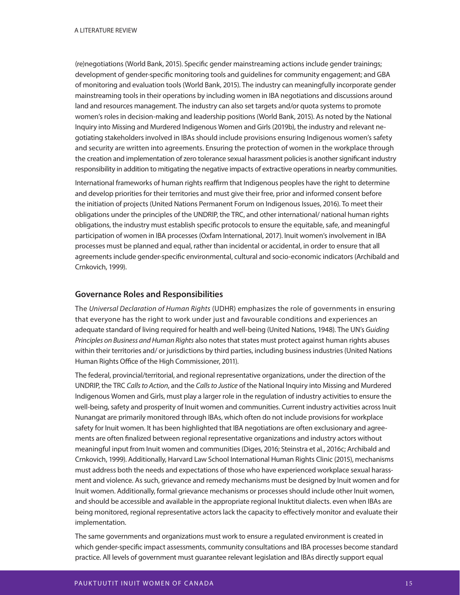(re)negotiations (World Bank, 2015). Specific gender mainstreaming actions include gender trainings; development of gender-specific monitoring tools and guidelines for community engagement; and GBA of monitoring and evaluation tools (World Bank, 2015). The industry can meaningfully incorporate gender mainstreaming tools in their operations by including women in IBA negotiations and discussions around land and resources management. The industry can also set targets and/or quota systems to promote women's roles in decision-making and leadership positions (World Bank, 2015). As noted by the National Inquiry into Missing and Murdered Indigenous Women and Girls (2019b), the industry and relevant negotiating stakeholders involved in IBAs should include provisions ensuring Indigenous women's safety and security are written into agreements. Ensuring the protection of women in the workplace through the creation and implementation of zero tolerance sexual harassment policies is another significant industry responsibility in addition to mitigating the negative impacts of extractive operations in nearby communities.

International frameworks of human rights reaffirm that Indigenous peoples have the right to determine and develop priorities for their territories and must give their free, prior and informed consent before the initiation of projects (United Nations Permanent Forum on Indigenous Issues, 2016). To meet their obligations under the principles of the UNDRIP, the TRC, and other international/ national human rights obligations, the industry must establish specific protocols to ensure the equitable, safe, and meaningful participation of women in IBA processes (Oxfam International, 2017). Inuit women's involvement in IBA processes must be planned and equal, rather than incidental or accidental, in order to ensure that all agreements include gender-specific environmental, cultural and socio-economic indicators (Archibald and Crnkovich, 1999).

#### **Governance Roles and Responsibilities**

The Universal Declaration of Human Rights (UDHR) emphasizes the role of governments in ensuring that everyone has the right to work under just and favourable conditions and experiences an adequate standard of living required for health and well-being (United Nations, 1948). The UN's Guiding Principles on Business and Human Rights also notes that states must protect against human rights abuses within their territories and/ or jurisdictions by third parties, including business industries (United Nations Human Rights Office of the High Commissioner, 2011).

The federal, provincial/territorial, and regional representative organizations, under the direction of the UNDRIP, the TRC Calls to Action, and the Calls to Justice of the National Inquiry into Missing and Murdered Indigenous Women and Girls, must play a larger role in the regulation of industry activities to ensure the well-being, safety and prosperity of Inuit women and communities. Current industry activities across Inuit Nunangat are primarily monitored through IBAs, which often do not include provisions for workplace safety for Inuit women. It has been highlighted that IBA negotiations are often exclusionary and agreements are often finalized between regional representative organizations and industry actors without meaningful input from Inuit women and communities (Diges, 2016; Steinstra et al., 2016c; Archibald and Crnkovich, 1999). Additionally, Harvard Law School International Human Rights Clinic (2015), mechanisms must address both the needs and expectations of those who have experienced workplace sexual harassment and violence. As such, grievance and remedy mechanisms must be designed by Inuit women and for Inuit women. Additionally, formal grievance mechanisms or processes should include other Inuit women, and should be accessible and available in the appropriate regional Inuktitut dialects. even when IBAs are being monitored, regional representative actors lack the capacity to effectively monitor and evaluate their implementation.

The same governments and organizations must work to ensure a regulated environment is created in which gender-specific impact assessments, community consultations and IBA processes become standard practice. All levels of government must guarantee relevant legislation and IBAs directly support equal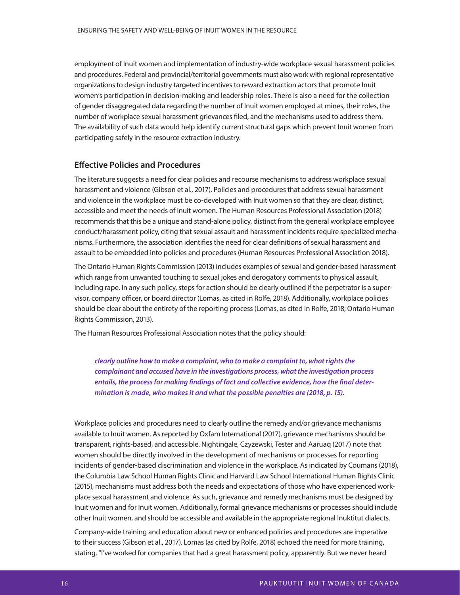employment of Inuit women and implementation of industry-wide workplace sexual harassment policies and procedures. Federal and provincial/territorial governments must also work with regional representative organizations to design industry targeted incentives to reward extraction actors that promote Inuit women's participation in decision-making and leadership roles. There is also a need for the collection of gender disaggregated data regarding the number of Inuit women employed at mines, their roles, the number of workplace sexual harassment grievances filed, and the mechanisms used to address them. The availability of such data would help identify current structural gaps which prevent Inuit women from participating safely in the resource extraction industry.

### **Effective Policies and Procedures**

The literature suggests a need for clear policies and recourse mechanisms to address workplace sexual harassment and violence (Gibson et al., 2017). Policies and procedures that address sexual harassment and violence in the workplace must be co-developed with Inuit women so that they are clear, distinct, accessible and meet the needs of Inuit women. The Human Resources Professional Association (2018) recommends that this be a unique and stand-alone policy, distinct from the general workplace employee conduct/harassment policy, citing that sexual assault and harassment incidents require specialized mechanisms. Furthermore, the association identifies the need for clear definitions of sexual harassment and assault to be embedded into policies and procedures (Human Resources Professional Association 2018).

The Ontario Human Rights Commission (2013) includes examples of sexual and gender-based harassment which range from unwanted touching to sexual jokes and derogatory comments to physical assault, including rape. In any such policy, steps for action should be clearly outlined if the perpetrator is a supervisor, company officer, or board director (Lomas, as cited in Rolfe, 2018). Additionally, workplace policies should be clear about the entirety of the reporting process (Lomas, as cited in Rolfe, 2018; Ontario Human Rights Commission, 2013).

The Human Resources Professional Association notes that the policy should:

**clearly outline how to make a complaint, who to make a complaint to, what rights the complainant and accused have in the investigations process, what the investigation process**  entails, the process for making findings of fact and collective evidence, how the final deter**mination is made, who makes it and what the possible penalties are (2018, p. 15).**

Workplace policies and procedures need to clearly outline the remedy and/or grievance mechanisms available to Inuit women. As reported by Oxfam International (2017), grievance mechanisms should be transparent, rights-based, and accessible. Nightingale, Czyzewski, Tester and Aaruaq (2017) note that women should be directly involved in the development of mechanisms or processes for reporting incidents of gender-based discrimination and violence in the workplace. As indicated by Coumans (2018), the Columbia Law School Human Rights Clinic and Harvard Law School International Human Rights Clinic (2015), mechanisms must address both the needs and expectations of those who have experienced workplace sexual harassment and violence. As such, grievance and remedy mechanisms must be designed by Inuit women and for Inuit women. Additionally, formal grievance mechanisms or processes should include other Inuit women, and should be accessible and available in the appropriate regional Inuktitut dialects.

Company-wide training and education about new or enhanced policies and procedures are imperative to their success (Gibson et al., 2017). Lomas (as cited by Rolfe, 2018) echoed the need for more training, stating, "I've worked for companies that had a great harassment policy, apparently. But we never heard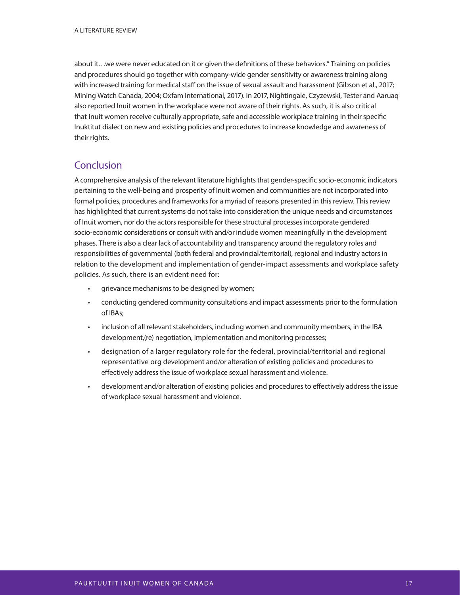about it…we were never educated on it or given the definitions of these behaviors." Training on policies and procedures should go together with company-wide gender sensitivity or awareness training along with increased training for medical staff on the issue of sexual assault and harassment (Gibson et al., 2017; Mining Watch Canada, 2004; Oxfam International, 2017). In 2017, Nightingale, Czyzewski, Tester and Aaruaq also reported Inuit women in the workplace were not aware of their rights. As such, it is also critical that Inuit women receive culturally appropriate, safe and accessible workplace training in their specific Inuktitut dialect on new and existing policies and procedures to increase knowledge and awareness of their rights.

## Conclusion

A comprehensive analysis of the relevant literature highlights that gender-specific socio-economic indicators pertaining to the well-being and prosperity of Inuit women and communities are not incorporated into formal policies, procedures and frameworks for a myriad of reasons presented in this review. This review has highlighted that current systems do not take into consideration the unique needs and circumstances of Inuit women, nor do the actors responsible for these structural processes incorporate gendered socio-economic considerations or consult with and/or include women meaningfully in the development phases. There is also a clear lack of accountability and transparency around the regulatory roles and responsibilities of governmental (both federal and provincial/territorial), regional and industry actors in relation to the development and implementation of gender-impact assessments and workplace safety policies. As such, there is an evident need for:

- grievance mechanisms to be designed by women;
- conducting gendered community consultations and impact assessments prior to the formulation of IBAs;
- inclusion of all relevant stakeholders, including women and community members, in the IBA development,(re) negotiation, implementation and monitoring processes;
- designation of a larger regulatory role for the federal, provincial/territorial and regional representative org development and/or alteration of existing policies and procedures to effectively address the issue of workplace sexual harassment and violence.
- development and/or alteration of existing policies and procedures to effectively address the issue of workplace sexual harassment and violence.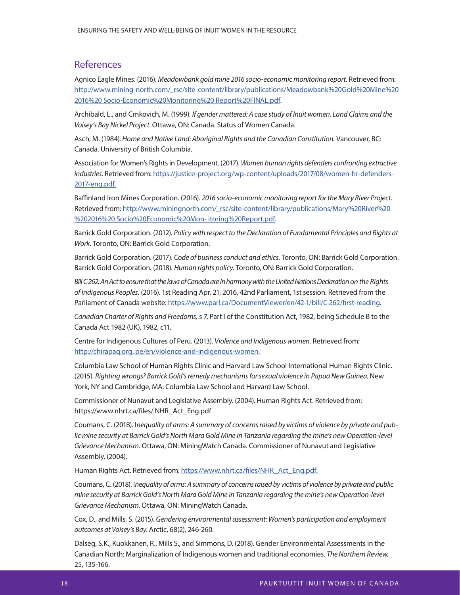### **References**

Agnico Eagle Mines. (2016). Meadowbank gold mine 2016 socio-economic monitoring report. Retrieved from: http://www.mining-north.com/\_rsc/site-content/library/publications/Meadowbank%20Gold%20Mine%20 2016%20 Socio-Economic%20Monitoring%20 Report%20FINAL.pdf.

Archibald, L., and Crnkovich, M. (1999). If gender mattered: A case study of Inuit women, Land Claims and the Voisey's Bay Nickel Project. Ottawa, ON: Canada. Status of Women Canada.

Asch, M. (1984). Home and Native Land: Aboriginal Rights and the Canadian Constitution. Vancouver, BC: Canada. University of British Columbia.

Association for Women's Rights in Development. (2017). Women human rights defenders confronting extractive industries. Retrieved from: https://justice-project.org/wp-content/uploads/2017/08/women-hr-defenders-2017-eng.pdf.

Baffinland Iron Mines Corporation. (2016). 2016 socio-economic monitoring report for the Mary River Project. Retrieved from: http://www.miningnorth.com/\_rsc/site-content/library/publications/Mary%20River%20 %202016%20 Socio%20Economic%20Mon- itoring%20Report.pdf.

Barrick Gold Corporation. (2012). Policy with respect to the Declaration of Fundamental Principles and Rights at Work. Toronto, ON: Barrick Gold Corporation.

Barrick Gold Corporation. (2017). Code of business conduct and ethics. Toronto, ON: Barrick Gold Corporation. Barrick Gold Corporation. (2018). Human rights policy. Toronto, ON: Barrick Gold Corporation.

Bill C-262: An Act to ensure that the laws of Canada are in harmony with the United Nations Declaration on the Rights of Indigenous Peoples. (2016). 1st Reading Apr. 21, 2016, 42nd Parliament, 1st session. Retrieved from the Parliament of Canada website: https://www.parl.ca/DocumentViewer/en/42-1/bill/C-262/first-reading.

Canadian Charter of Rights and Freedoms, s 7, Part I of the Constitution Act, 1982, being Schedule B to the Canada Act 1982 (UK), 1982, c11.

Centre for Indigenous Cultures of Peru. (2013). Violence and Indigenous women. Retrieved from: http://chirapaq.org. pe/en/violence-and-indigenous-women.

Columbia Law School of Human Rights Clinic and Harvard Law School International Human Rights Clinic. (2015). Righting wrongs? Barrick Gold's remedy mechanisms for sexual violence in Papua New Guinea. New York, NY and Cambridge, MA: Columbia Law School and Harvard Law School.

Commissioner of Nunavut and Legislative Assembly. (2004). Human Rights Act. Retrieved from: https://www.nhrt.ca/files/ NHR\_Act\_Eng.pdf

Coumans, C. (2018). Inequality of arms: A summary of concerns raised by victims of violence by private and public mine security at Barrick Gold's North Mara Gold Mine in Tanzania regarding the mine's new Operation-level Grievance Mechanism. Ottawa, ON: MiningWatch Canada. Commissioner of Nunavut and Legislative Assembly. (2004).

Human Rights Act. Retrieved from: https://www.nhrt.ca/files/NHR\_Act\_Eng.pdf.

Coumans, C. (2018). Inequality of arms: A summary of concerns raised by victims of violence by private and public mine security at Barrick Gold's North Mara Gold Mine in Tanzania regarding the mine's new Operation-level Grievance Mechanism. Ottawa, ON: MiningWatch Canada.

Cox, D., and Mills, S. (2015). Gendering environmental assessment: Women's participation and employment outcomes at Voisey's Bay. Arctic, 68(2), 246-260.

Dalseg, S.K., Kuokkanen, R., Mills S., and Simmons, D. (2018). Gender Environmental Assessments in the Canadian North: Marginalization of Indigenous women and traditional economies. The Northern Review, 25, 135-166.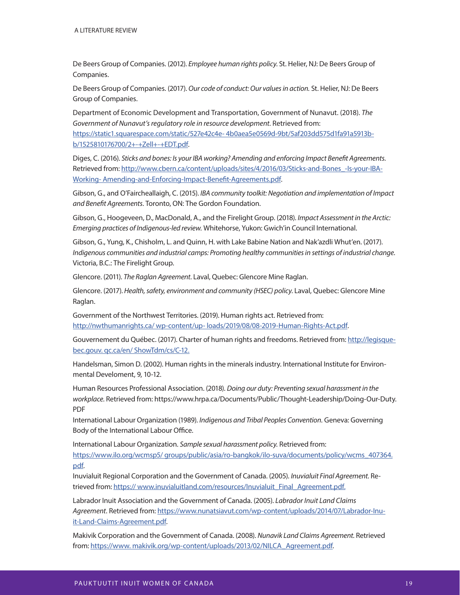De Beers Group of Companies. (2012). Employee human rights policy. St. Helier, NJ: De Beers Group of Companies.

De Beers Group of Companies. (2017). Our code of conduct: Our values in action. St. Helier, NJ: De Beers Group of Companies.

Department of Economic Development and Transportation, Government of Nunavut. (2018). The Government of Nunavut's regulatory role in resource development. Retrieved from:

https://static1.squarespace.com/static/527e42c4e- 4b0aea5e0569d-9bt/5af203dd575d1fa91a5913bb/1525810176700/2+-+Zell+-+EDT.pdf.

Diges, C. (2016). Sticks and bones: Is your IBA working? Amending and enforcing Impact Benefit Agreements. Retrieved from: http://www.cbern.ca/content/uploads/sites/4/2016/03/Sticks-and-Bones\_-Is-your-IBA-Working- Amending-and-Enforcing-Impact-Benefit-Agreements.pdf.

Gibson, G., and O'Faircheallaigh, C. (2015). IBA community toolkit: Negotiation and implementation of Impact and Benefit Agreements. Toronto, ON: The Gordon Foundation.

Gibson, G., Hoogeveen, D., MacDonald, A., and the Firelight Group. (2018). Impact Assessment in the Arctic: Emerging practices of Indigenous-led review. Whitehorse, Yukon: Gwich'in Council International.

Gibson, G., Yung, K., Chisholm, L. and Quinn, H. with Lake Babine Nation and Nak'azdli Whut'en. (2017). Indigenous communities and industrial camps: Promoting healthy communities in settings of industrial change. Victoria, B.C.: The Firelight Group.

Glencore. (2011). The Raglan Agreement. Laval, Quebec: Glencore Mine Raglan.

Glencore. (2017). Health, safety, environment and community (HSEC) policy. Laval, Quebec: Glencore Mine Raglan.

Government of the Northwest Territories. (2019). Human rights act. Retrieved from: http://nwthumanrights.ca/ wp-content/up- loads/2019/08/08-2019-Human-Rights-Act.pdf.

Gouvernement du Québec. (2017). Charter of human rights and freedoms. Retrieved from: http://legisquebec.gouv. qc.ca/en/ ShowTdm/cs/C-12.

Handelsman, Simon D. (2002). Human rights in the minerals industry. International Institute for Environmental Develoment, 9, 10-12.

Human Resources Professional Association. (2018). Doing our duty: Preventing sexual harassment in the workplace. Retrieved from: https://www.hrpa.ca/Documents/Public/Thought-Leadership/Doing-Our-Duty. PDF

International Labour Organization (1989). Indigenous and Tribal Peoples Convention. Geneva: Governing Body of the International Labour Office.

International Labour Organization. Sample sexual harassment policy. Retrieved from: https://www.ilo.org/wcmsp5/ groups/public/asia/ro-bangkok/ilo-suva/documents/policy/wcms\_407364. pdf.

Inuvialuit Regional Corporation and the Government of Canada. (2005). Inuvialuit Final Agreement. Retrieved from: https:// www.inuvialuitland.com/resources/Inuvialuit\_Final\_Agreement.pdf.

Labrador Inuit Association and the Government of Canada. (2005). Labrador Inuit Land Claims Agreement. Retrieved from: https://www.nunatsiavut.com/wp-content/uploads/2014/07/Labrador-Inuit-Land-Claims-Agreement.pdf.

Makivik Corporation and the Government of Canada. (2008). Nunavik Land Claims Agreement. Retrieved from: https://www. makivik.org/wp-content/uploads/2013/02/NILCA\_Agreement.pdf.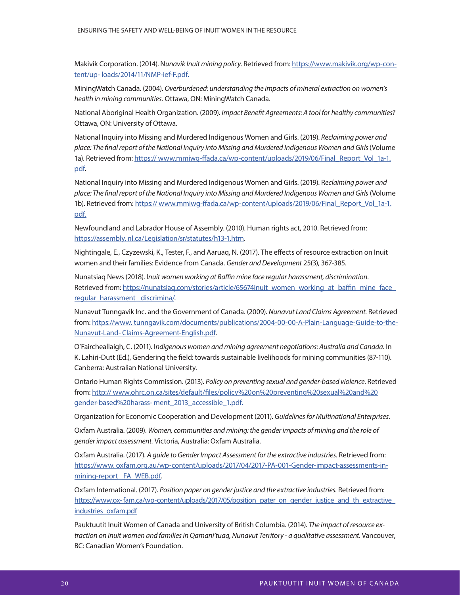Makivik Corporation. (2014). Nunavik Inuit mining policy. Retrieved from: https://www.makivik.org/wp-content/up- loads/2014/11/NMP-ief-F.pdf.

MiningWatch Canada. (2004). Overburdened: understanding the impacts of mineral extraction on women's health in mining communities. Ottawa, ON: MiningWatch Canada.

National Aboriginal Health Organization. (2009). Impact Benefit Agreements: A tool for healthy communities? Ottawa, ON: University of Ottawa.

National Inquiry into Missing and Murdered Indigenous Women and Girls. (2019). Reclaiming power and place: The final report of the National Inquiry into Missing and Murdered Indigenous Women and Girls (Volume 1a). Retrieved from: https:// www.mmiwg-ffada.ca/wp-content/uploads/2019/06/Final\_Report\_Vol\_1a-1. pdf.

National Inquiry into Missing and Murdered Indigenous Women and Girls. (2019). Reclaiming power and place: The final report of the National Inquiry into Missing and Murdered Indigenous Women and Girls (Volume 1b). Retrieved from: https:// www.mmiwg-ffada.ca/wp-content/uploads/2019/06/Final\_Report\_Vol\_1a-1. pdf.

Newfoundland and Labrador House of Assembly. (2010). Human rights act, 2010. Retrieved from: https://assembly. nl.ca/Legislation/sr/statutes/h13-1.htm.

Nightingale, E., Czyzewski, K., Tester, F., and Aaruaq, N. (2017). The effects of resource extraction on Inuit women and their families: Evidence from Canada. Gender and Development 25(3), 367-385.

Nunatsiaq News (2018). Inuit women working at Baffin mine face regular harassment, discrimination. Retrieved from: https://nunatsiag.com/stories/article/65674inuit\_women\_working\_at\_baffin\_mine\_face\_ regular\_harassment\_discrimina/.

Nunavut Tunngavik Inc. and the Government of Canada. (2009). Nunavut Land Claims Agreement. Retrieved from: https://www. tunngavik.com/documents/publications/2004-00-00-A-Plain-Language-Guide-to-the-Nunavut-Land- Claims-Agreement-English.pdf.

O'Faircheallaigh, C. (2011). Indigenous women and mining agreement negotiations: Australia and Canada. In K. Lahiri-Dutt (Ed.), Gendering the field: towards sustainable livelihoods for mining communities (87-110). Canberra: Australian National University.

Ontario Human Rights Commission. (2013). Policy on preventing sexual and gender-based violence. Retrieved from: http:// www.ohrc.on.ca/sites/default/files/policy%20on%20preventing%20sexual%20and%20 gender-based%20harass- ment\_2013\_accessible\_1.pdf.

Organization for Economic Cooperation and Development (2011). Guidelines for Multinational Enterprises.

Oxfam Australia. (2009). Women, communities and mining: the gender impacts of mining and the role of gender impact assessment. Victoria, Australia: Oxfam Australia.

Oxfam Australia. (2017). A guide to Gender Impact Assessment for the extractive industries. Retrieved from: https://www. oxfam.org.au/wp-content/uploads/2017/04/2017-PA-001-Gender-impact-assessments-inmining-report\_ FA\_WEB.pdf.

Oxfam International. (2017). Position paper on gender justice and the extractive industries. Retrieved from: https://www.ox- fam.ca/wp-content/uploads/2017/05/position\_pater\_on\_gender\_justice\_and\_th\_extractive\_ industries\_oxfam.pdf

Pauktuutit Inuit Women of Canada and University of British Columbia. (2014). The impact of resource extraction on Inuit women and families in Qamani'tuaq, Nunavut Territory - a qualitative assessment. Vancouver, BC: Canadian Women's Foundation.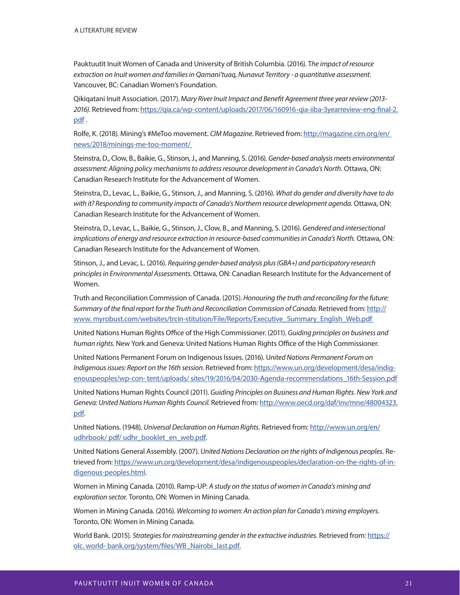Pauktuutit Inuit Women of Canada and University of British Columbia. (2016). The impact of resource extraction on Inuit women and families in Qamani'tuaq, Nunavut Territory - a quantitative assessment. Vancouver, BC: Canadian Women's Foundation.

Qikiqatani Inuit Association. (2017). Mary River Inuit Impact and Benefit Agreement three year review (2013-2016). Retrieved from: https://qia.ca/wp-content/uploads/2017/06/160916-qia-iiba-3yearreview-eng-final-2. pdf .

Rolfe, K. (2018). Mining's #MeToo movement. CIM Magazine. Retrieved from: http://magazine.cim.org/en/ news/2018/minings-me-too-moment/

Steinstra, D., Clow, B., Baikie, G., Stinson, J., and Manning, S. (2016). Gender-based analysis meets environmental assessment: Aligning policy mechanisms to address resource development in Canada's North. Ottawa, ON: Canadian Research Institute for the Advancement of Women.

Steinstra, D., Levac, L., Baikie, G., Stinson, J., and Manning, S. (2016). What do gender and diversity have to do with it? Responding to community impacts of Canada's Northern resource development agenda. Ottawa, ON: Canadian Research Institute for the Advancement of Women.

Steinstra, D., Levac, L., Baikie, G., Stinson, J., Clow, B., and Manning, S. (2016). Gendered and intersectional implications of energy and resource extraction in resource-based communities in Canada's North. Ottawa, ON: Canadian Research Institute for the Advancement of Women.

Stinson, J., and Levac, L. (2016). Requiring gender-based analysis plus (GBA+) and participatory research principles in Environmental Assessments. Ottawa, ON: Canadian Research Institute for the Advancement of Women.

Truth and Reconciliation Commission of Canada. (2015). Honouring the truth and reconciling for the future: Summary of the final report for the Truth and Reconciliation Commission of Canada. Retrieved from: http:// www. myrobust.com/websites/trcin-stitution/File/Reports/Executive\_Summary\_English\_Web.pdf

United Nations Human Rights Office of the High Commissioner. (2011). Guiding principles on business and human rights. New York and Geneva: United Nations Human Rights Office of the High Commissioner.

United Nations Permanent Forum on Indigenous Issues. (2016). United Nations Permanent Forum on Indigenous issues: Report on the 16th session. Retrieved from: https://www.un.org/development/desa/indigenouspeoples/wp-con- tent/uploads/ sites/19/2016/04/2030-Agenda-recommendations\_16th-Session.pdf

United Nations Human Rights Council (2011). Guiding Principles on Business and Human Rights. New York and Geneva: United Nations Human Rights Council. Retrieved from: http://www.oecd.org/daf/inv/mne/48004323. pdf.

United Nations. (1948). Universal Declaration on Human Rights. Retrieved from: http://www.un.org/en/ udhrbook/ pdf/ udhr\_booklet\_en\_web.pdf.

United Nations General Assembly. (2007). United Nations Declaration on the rights of Indigenous peoples. Retrieved from: https://www.un.org/development/desa/indigenouspeoples/declaration-on-the-rights-of-indigenous-peoples.html.

Women in Mining Canada. (2010). Ramp-UP: A study on the status of women in Canada's mining and exploration sector. Toronto, ON: Women in Mining Canada.

Women in Mining Canada. (2016). Welcoming to women: An action plan for Canada's mining employers. Toronto, ON: Women in Mining Canada.

World Bank. (2015). Strategies for mainstreaming gender in the extractive industries. Retrieved from: https:// olc. world- bank.org/system/files/WB\_Nairobi\_last.pdf.